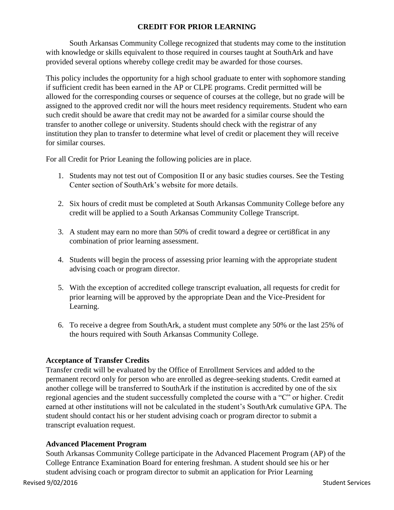## **CREDIT FOR PRIOR LEARNING**

South Arkansas Community College recognized that students may come to the institution with knowledge or skills equivalent to those required in courses taught at SouthArk and have provided several options whereby college credit may be awarded for those courses.

This policy includes the opportunity for a high school graduate to enter with sophomore standing if sufficient credit has been earned in the AP or CLPE programs. Credit permitted will be allowed for the corresponding courses or sequence of courses at the college, but no grade will be assigned to the approved credit nor will the hours meet residency requirements. Student who earn such credit should be aware that credit may not be awarded for a similar course should the transfer to another college or university. Students should check with the registrar of any institution they plan to transfer to determine what level of credit or placement they will receive for similar courses.

For all Credit for Prior Leaning the following policies are in place.

- 1. Students may not test out of Composition II or any basic studies courses. See the Testing Center section of SouthArk's website for more details.
- 2. Six hours of credit must be completed at South Arkansas Community College before any credit will be applied to a South Arkansas Community College Transcript.
- 3. A student may earn no more than 50% of credit toward a degree or certi8ficat in any combination of prior learning assessment.
- 4. Students will begin the process of assessing prior learning with the appropriate student advising coach or program director.
- 5. With the exception of accredited college transcript evaluation, all requests for credit for prior learning will be approved by the appropriate Dean and the Vice-President for Learning.
- 6. To receive a degree from SouthArk, a student must complete any 50% or the last 25% of the hours required with South Arkansas Community College.

## **Acceptance of Transfer Credits**

Transfer credit will be evaluated by the Office of Enrollment Services and added to the permanent record only for person who are enrolled as degree-seeking students. Credit earned at another college will be transferred to SouthArk if the institution is accredited by one of the six regional agencies and the student successfully completed the course with a "C" or higher. Credit earned at other institutions will not be calculated in the student's SouthArk cumulative GPA. The student should contact his or her student advising coach or program director to submit a transcript evaluation request.

## **Advanced Placement Program**

Revised 9/02/2016 Student Services Student Services Student Services Student Services South Arkansas Community College participate in the Advanced Placement Program (AP) of the College Entrance Examination Board for entering freshman. A student should see his or her student advising coach or program director to submit an application for Prior Learning